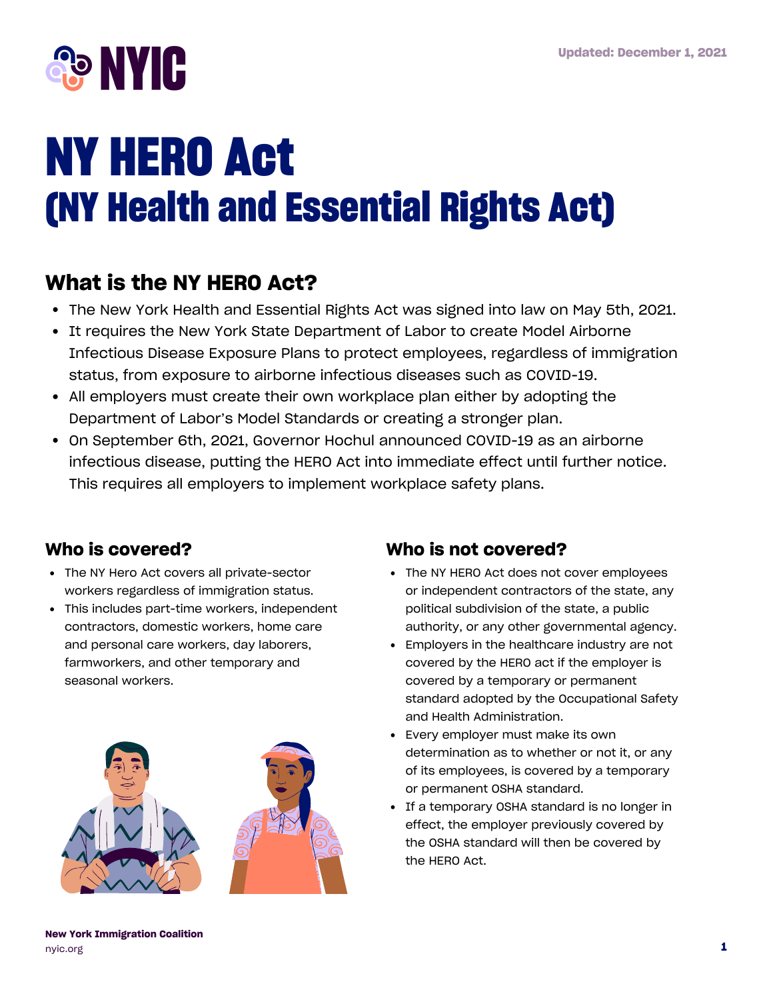

# **NY HERO Act (NY Health and Essential Rights Act)**

# **What is the NY HERO Act?**

- The New York Health and Essential Rights Act was signed into law on May 5th, 2021.
- It requires the New York State Department of Labor to create Model Airborne Infectious Disease Exposure Plans to protect employees, regardless of immigration status, from exposure to airborne infectious diseases such as COVID-19.
- All employers must create their own workplace plan either by adopting the Department of Labor's Model Standards or creating a stronger plan.
- On September 6th, 2021, Governor Hochul announced COVID-19 as an airborne infectious disease, putting the HERO Act into immediate effect until further notice. This requires all employers to implement workplace safety plans.

#### **Who is covered?**

- The NY Hero Act covers all private-sector workers regardless of immigration status.
- This includes part-time workers, independent contractors, domestic workers, home care and personal care workers, day laborers, farmworkers, and other temporary and seasonal workers.



#### **Who is not covered?**

- The NY HERO Act does not cover employees or independent contractors of the state, any political subdivision of the state, a public authority, or any other governmental agency.
- Employers in the healthcare industry are not covered by the HERO act if the employer is covered by a temporary or permanent standard adopted by the Occupational Safety and Health Administration.
- Every employer must make its own determination as to whether or not it, or any of its employees, is covered by a temporary or permanent OSHA standard.
- If a temporary OSHA standard is no longer in effect, the employer previously covered by the OSHA standard will then be covered by the HERO Act.

**New York Immigration Coalition** [nyic.org](https://www.nyic.org/) **1**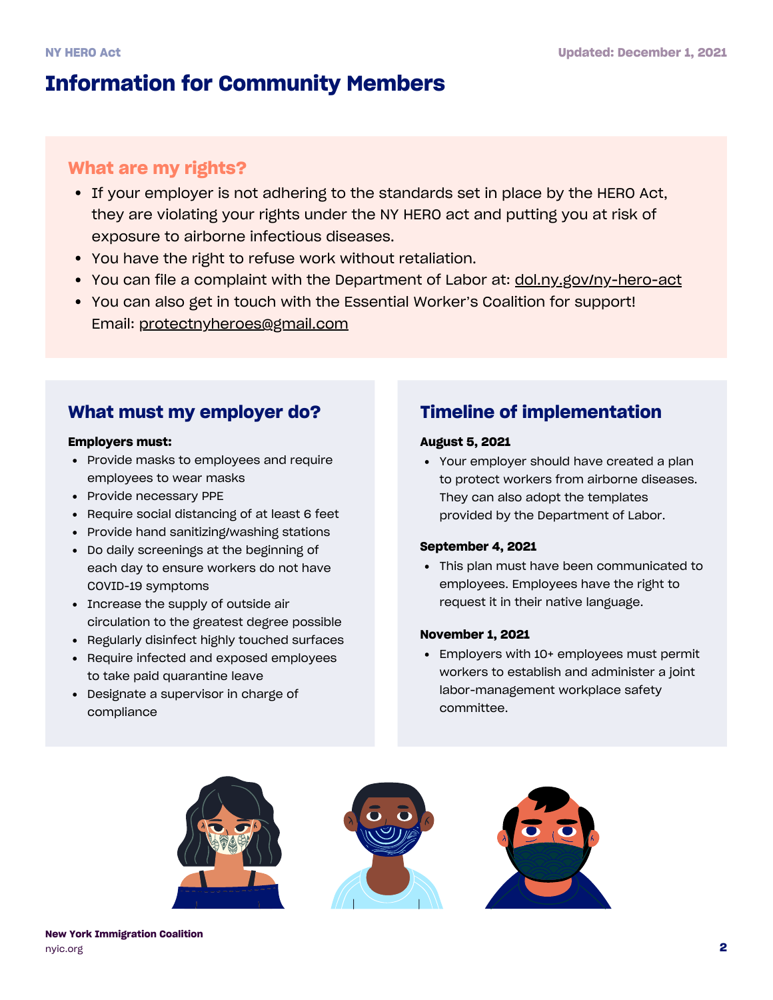# **Information for Community Members**

#### **What are my rights?**

- If your employer is not adhering to the standards set in place by the HERO Act, they are violating your rights under the NY HERO act and putting you at risk of exposure to airborne infectious diseases.
- You have the right to refuse work without retaliation.
- You can file a complaint with the Department of Labor at: [dol.ny.gov/ny-hero-act](https://dol.ny.gov/ny-hero-act)
- You can also get in touch with the Essential Worker's Coalition for support! Email: protectnyheroes@gmail.com

#### **What must my employer do? Timeline of implementation**

#### **Employers must:**

- Provide masks to employees and require employees to wear masks
- Provide necessary PPE
- Require social distancing of at least 6 feet
- Provide hand sanitizing/washing stations
- Do daily screenings at the beginning of each day to ensure workers do not have COVID-19 symptoms
- Increase the supply of outside air circulation to the greatest degree possible
- Regularly disinfect highly touched surfaces
- Require infected and exposed employees to take paid quarantine leave
- Designate a supervisor in charge of compliance

#### **August 5, 2021**

Your employer should have created a plan to protect workers from airborne diseases. They can also adopt the templates provided by the [Department](https://dol.ny.gov/ny-hero-act) of Labor.

#### **September 4, 2021**

This plan must have been communicated to employees. Employees have the right to request it in their native language.

#### **November 1, 2021**

Employers with 10+ employees must permit workers to establish and administer a joint labor-management workplace safety committee.





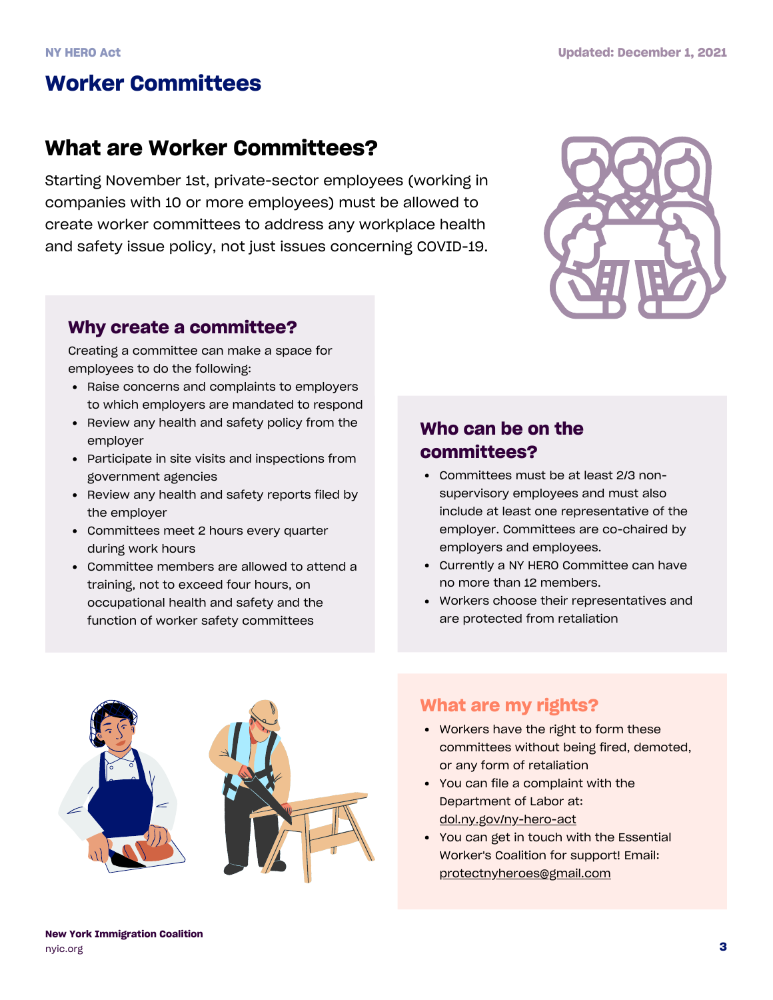# **Worker Committees**

## **What are Worker Committees?**

Starting November 1st, private-sector employees (working in companies with 10 or more employees) must be allowed to create worker committees to address any workplace health and safety issue policy, not just issues concerning COVID-19.



#### **Why create a committee?**

Creating a committee can make a space for employees to do the following:

- Raise concerns and complaints to employers to which employers are mandated to respond
- Review any health and safety policy from the employer
- Participate in site visits and inspections from government agencies
- Review any health and safety reports filed by the employer
- Committees meet 2 hours every quarter during work hours
- Committee members are allowed to attend a training, not to exceed four hours, on occupational health and safety and the function of worker safety committees

#### **Who can be on the committees?**

- Committees must be at least 2/3 nonsupervisory employees and must also include at least one representative of the employer. Committees are co-chaired by employers and employees.
- Currently a NY HERO Committee can have no more than 12 members.
- Workers choose their representatives and are protected from retaliation



#### **What are my rights?**

- Workers have the right to form these committees without being fired, demoted, or any form of retaliation
- You can file a complaint with the Department of Labor at: [dol.ny.gov/ny-hero-act](https://dol.ny.gov/ny-hero-act)
- You can get in touch with the Essential Worker's Coalition for support! Email: protectnyheroes@gmail.com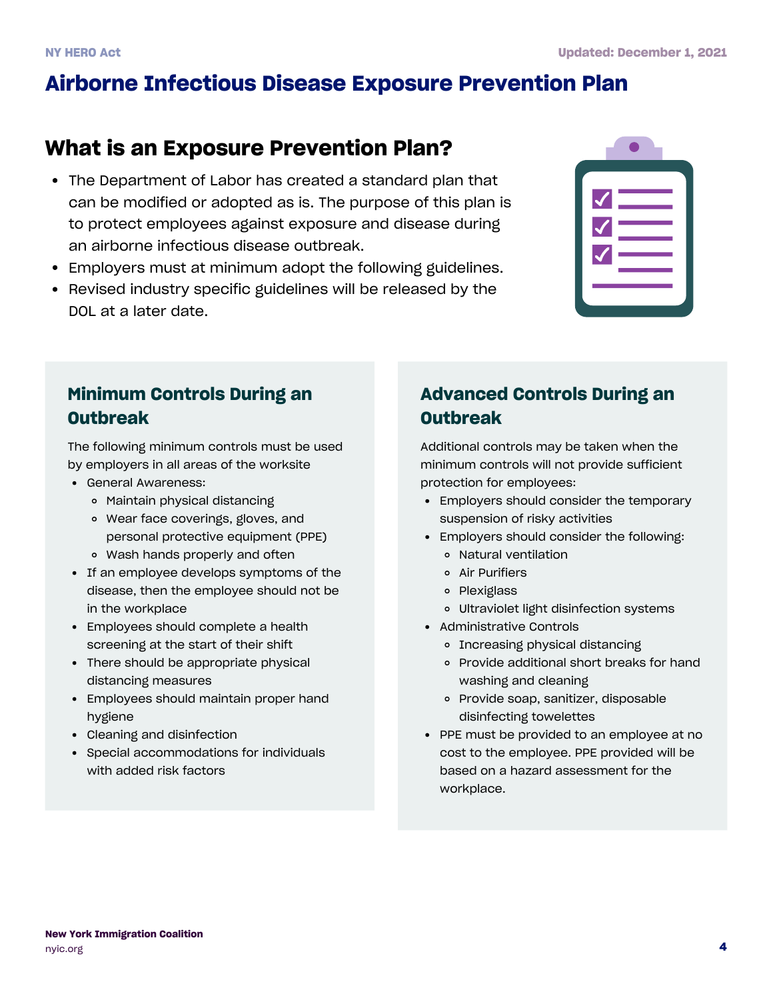# **Airborne Infectious Disease Exposure Prevention Plan**

### **What is an Exposure Prevention Plan?**

- The Department of Labor has created a standard plan that can be modified or adopted as is. The purpose of this plan is to protect employees against exposure and disease during an airborne infectious disease outbreak.
- Employers must at minimum adopt the following guidelines.
- Revised industry specific guidelines will be released by the DOL at a later date.

#### **Minimum Controls During an Outbreak**

The following minimum controls must be used by employers in all areas of the worksite

- General Awareness:
	- Maintain physical distancing
	- Wear face coverings, gloves, and personal protective equipment (PPE)
	- Wash hands properly and often
- If an employee develops symptoms of the disease, then the employee should not be in the workplace
- Employees should complete a health screening at the start of their shift
- There should be appropriate physical distancing measures
- Employees should maintain proper hand hygiene
- Cleaning and disinfection
- Special accommodations for individuals with added risk factors

#### **Advanced Controls During an Outbreak**

Additional controls may be taken when the minimum controls will not provide sufficient protection for employees:

- Employers should consider the temporary suspension of risky activities
- Employers should consider the following:
	- Natural ventilation
	- Air Purifiers
	- o Plexiglass
	- Ultraviolet light disinfection systems
- Administrative Controls
	- o Increasing physical distancing
	- Provide additional short breaks for hand washing and cleaning
	- Provide soap, sanitizer, disposable disinfecting towelettes
- PPE must be provided to an employee at no cost to the employee. PPE provided will be based on a hazard assessment for the workplace.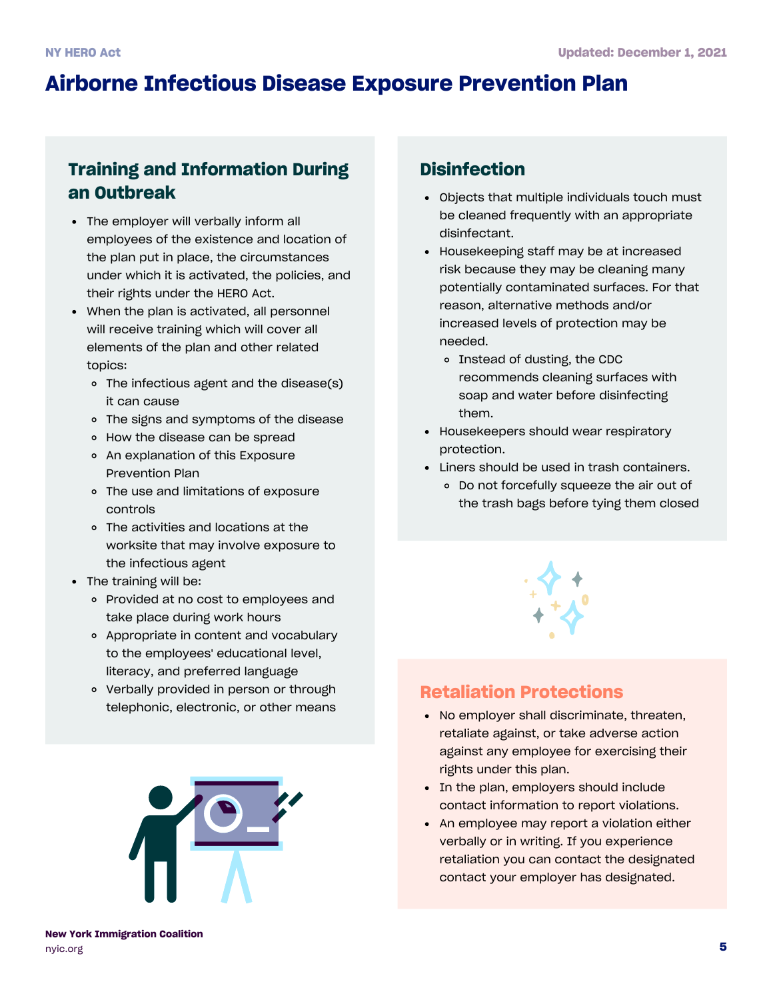# **Airborne Infectious Disease Exposure Prevention Plan**

#### **Training and Information During an Outbreak**

- The employer will verbally inform all employees of the existence and location of the plan put in place, the circumstances under which it is activated, the policies, and their rights under the HERO Act.
- When the plan is activated, all personnel will receive training which will cover all elements of the plan and other related topics:
	- The infectious agent and the disease(s) it can cause
	- The signs and symptoms of the disease
	- How the disease can be spread
	- An explanation of this Exposure Prevention Plan
	- The use and limitations of exposure controls
	- The activities and locations at the worksite that may involve exposure to the infectious agent
- The training will be:
	- Provided at no cost to employees and take place during work hours
	- Appropriate in content and vocabulary to the employees' educational level, literacy, and preferred language
	- Verbally provided in person or through telephonic, electronic, or other means



#### **Disinfection**

- Objects that multiple individuals touch must be cleaned frequently with an appropriate disinfectant.
- Housekeeping staff may be at increased risk because they may be cleaning many potentially contaminated surfaces. For that reason, alternative methods and/or increased levels of protection may be needed.
	- o Instead of dusting, the CDC recommends cleaning surfaces with soap and water before disinfecting them.
- Housekeepers should wear respiratory protection.
- Liners should be used in trash containers.
	- Do not forcefully squeeze the air out of the trash bags before tying them closed



#### **Retaliation Protections**

- No employer shall discriminate, threaten, retaliate against, or take adverse action against any employee for exercising their rights under this plan.
- In the plan, employers should include contact information to report violations.
- An employee may report a violation either verbally or in writing. If you experience retaliation you can contact the designated contact your employer has designated.

**New York Immigration Coalition** [nyic.org](https://www.nyic.org/)